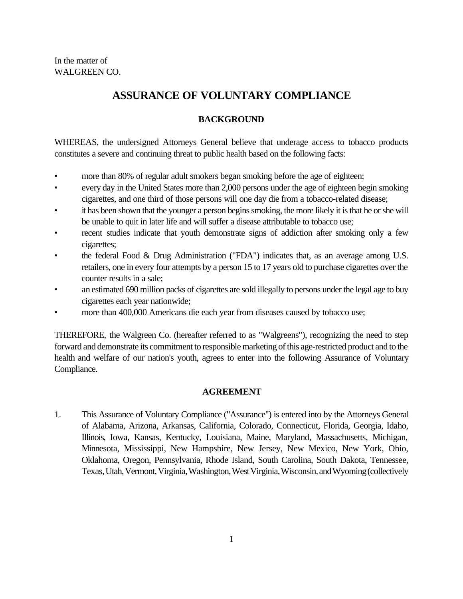# **ASSURANCE OF VOLUNTARY COMPLIANCE**

# **BACKGROUND**

WHEREAS, the undersigned Attorneys General believe that underage access to tobacco products constitutes a severe and continuing threat to public health based on the following facts:

- more than 80% of regular adult smokers began smoking before the age of eighteen;
- every day in the United States more than 2,000 persons under the age of eighteen begin smoking cigarettes, and one third of those persons will one day die from a tobacco-related disease;
- it has been shown that the younger a person begins smoking, the more likely it is that he or she will be unable to quit in later life and will suffer a disease attributable to tobacco use;
- recent studies indicate that youth demonstrate signs of addiction after smoking only a few cigarettes;
- the federal Food & Drug Administration ("FDA") indicates that, as an average among U.S. retailers, one in every four attempts by a person 15 to 17 years old to purchase cigarettes over the counter results in a sale;
- an estimated 690 million packs of cigarettes are sold illegally to persons under the legal age to buy cigarettes each year nationwide;
- more than 400,000 Americans die each year from diseases caused by tobacco use;

THEREFORE, the Walgreen Co. (hereafter referred to as "Walgreens"), recognizing the need to step forward and demonstrate its commitment to responsible marketing of this age-restricted product and to the health and welfare of our nation's youth, agrees to enter into the following Assurance of Voluntary Compliance.

## **AGREEMENT**

1. This Assurance of Voluntary Compliance ("Assurance") is entered into by the Attorneys General of Alabama, Arizona, Arkansas, California, Colorado, Connecticut, Florida, Georgia, Idaho, Illinois, Iowa, Kansas, Kentucky, Louisiana, Maine, Maryland, Massachusetts, Michigan, Minnesota, Mississippi, New Hampshire, New Jersey, New Mexico, New York, Ohio, Oklahoma, Oregon, Pennsylvania, Rhode Island, South Carolina, South Dakota, Tennessee, Texas, Utah, Vermont, Virginia, Washington, West Virginia, Wisconsin, and Wyoming (collectively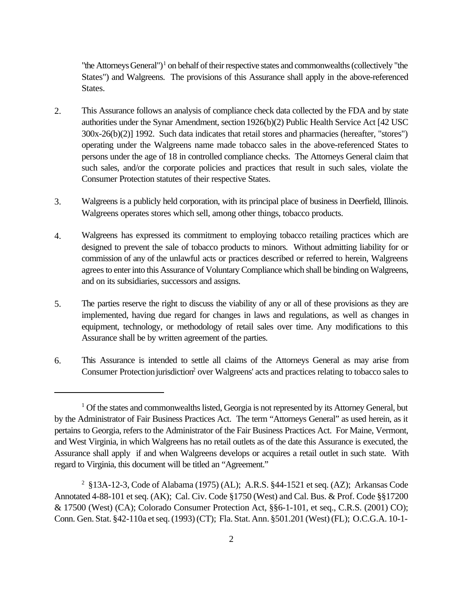"the Attorneys General")<sup>1</sup> on behalf of their respective states and commonwealths (collectively "the States") and Walgreens. The provisions of this Assurance shall apply in the above-referenced States.

- 2. This Assurance follows an analysis of compliance check data collected by the FDA and by state authorities under the Synar Amendment, section 1926(b)(2) Public Health Service Act [42 USC 300x-26(b)(2)] 1992. Such data indicates that retail stores and pharmacies (hereafter, "stores") operating under the Walgreens name made tobacco sales in the above-referenced States to persons under the age of 18 in controlled compliance checks. The Attorneys General claim that such sales, and/or the corporate policies and practices that result in such sales, violate the Consumer Protection statutes of their respective States.
- 3. Walgreens is a publicly held corporation, with its principal place of business in Deerfield, Illinois. Walgreens operates stores which sell, among other things, tobacco products.
- 4. Walgreens has expressed its commitment to employing tobacco retailing practices which are designed to prevent the sale of tobacco products to minors. Without admitting liability for or commission of any of the unlawful acts or practices described or referred to herein, Walgreens agrees to enter into this Assurance of Voluntary Compliance which shall be binding on Walgreens, and on its subsidiaries, successors and assigns.
- 5. The parties reserve the right to discuss the viability of any or all of these provisions as they are implemented, having due regard for changes in laws and regulations, as well as changes in equipment, technology, or methodology of retail sales over time. Any modifications to this Assurance shall be by written agreement of the parties.
- 6. This Assurance is intended to settle all claims of the Attorneys General as may arise from Consumer Protection jurisdiction<sup>2</sup> over Walgreens' acts and practices relating to tobacco sales to

<sup>&</sup>lt;sup>1</sup> Of the states and commonwealths listed, Georgia is not represented by its Attorney General, but by the Administrator of Fair Business Practices Act. The term "Attorneys General" as used herein, as it pertains to Georgia, refers to the Administrator of the Fair Business Practices Act. For Maine, Vermont, and West Virginia, in which Walgreens has no retail outlets as of the date this Assurance is executed, the Assurance shall apply if and when Walgreens develops or acquires a retail outlet in such state. With regard to Virginia, this document will be titled an "Agreement."

<sup>&</sup>lt;sup>2</sup> §13A-12-3, Code of Alabama (1975) (AL); A.R.S. §44-1521 et seq. (AZ); Arkansas Code Annotated 4-88-101 et seq. (AK); Cal. Civ. Code §1750 (West) and Cal. Bus. & Prof. Code §§17200 & 17500 (West) (CA); Colorado Consumer Protection Act, §§6-1-101, et seq., C.R.S. (2001) CO); Conn. Gen. Stat. §42-110a et seq. (1993) (CT); Fla. Stat. Ann. §501.201 (West) (FL); O.C.G.A. 10-1-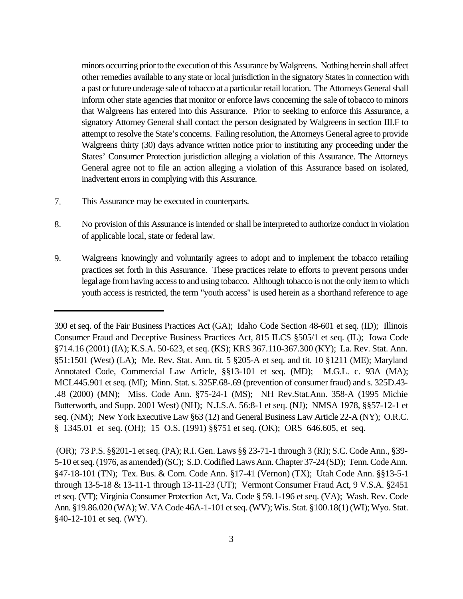minors occurring prior to the execution of this Assurance by Walgreens. Nothing herein shall affect other remedies available to any state or local jurisdiction in the signatory States in connection with a past or future underage sale of tobacco at a particular retail location. The Attorneys General shall inform other state agencies that monitor or enforce laws concerning the sale of tobacco to minors that Walgreens has entered into this Assurance. Prior to seeking to enforce this Assurance, a signatory Attorney General shall contact the person designated by Walgreens in section III.F to attempt to resolve the State's concerns. Failing resolution, the Attorneys General agree to provide Walgreens thirty (30) days advance written notice prior to instituting any proceeding under the States' Consumer Protection jurisdiction alleging a violation of this Assurance. The Attorneys General agree not to file an action alleging a violation of this Assurance based on isolated, inadvertent errors in complying with this Assurance.

- 7. This Assurance may be executed in counterparts.
- 8. No provision of this Assurance is intended or shall be interpreted to authorize conduct in violation of applicable local, state or federal law.
- 9. Walgreens knowingly and voluntarily agrees to adopt and to implement the tobacco retailing practices set forth in this Assurance. These practices relate to efforts to prevent persons under legal age from having access to and using tobacco. Although tobacco is not the only item to which youth access is restricted, the term "youth access" is used herein as a shorthand reference to age

 (OR); 73 P.S. §§201-1 et seq. (PA); R.I. Gen. Laws §§ 23-71-1 through 3 (RI); S.C. Code Ann., §39- 5-10 et seq. (1976, as amended) (SC); S.D. Codified Laws Ann. Chapter 37-24 (SD); Tenn. Code Ann. §47-18-101 (TN); Tex. Bus. & Com. Code Ann. §17-41 (Vernon) (TX); Utah Code Ann. §§13-5-1 through 13-5-18 & 13-11-1 through 13-11-23 (UT); Vermont Consumer Fraud Act, 9 V.S.A. §2451 et seq. (VT); Virginia Consumer Protection Act, Va. Code § 59.1-196 et seq. (VA); Wash. Rev. Code Ann. §19.86.020 (WA); W. VA Code 46A-1-101 et seq. (WV); Wis. Stat. §100.18(1) (WI); Wyo. Stat. §40-12-101 et seq. (WY).

<sup>390</sup> et seq. of the Fair Business Practices Act (GA); Idaho Code Section 48-601 et seq. (ID); Illinois Consumer Fraud and Deceptive Business Practices Act, 815 ILCS §505/1 et seq. (IL); Iowa Code §714.16 (2001) (IA); K.S.A. 50-623, et seq. (KS); KRS 367.110-367.300 (KY); La. Rev. Stat. Ann. §51:1501 (West) (LA); Me. Rev. Stat. Ann. tit. 5 §205-A et seq. and tit. 10 §1211 (ME); Maryland Annotated Code, Commercial Law Article, §§13-101 et seq. (MD); M.G.L. c. 93A (MA); MCL445.901 et seq. (MI); Minn. Stat. s. 325F.68-.69 (prevention of consumer fraud) and s. 325D.43- .48 (2000) (MN); Miss. Code Ann. §75-24-1 (MS); NH Rev.Stat.Ann. 358-A (1995 Michie Butterworth, and Supp. 2001 West) (NH); N.J.S.A. 56:8-1 et seq. (NJ); NMSA 1978, §§57-12-1 et seq. (NM); New York Executive Law §63 (12) and General Business Law Article 22-A (NY); O.R.C. § 1345.01 et seq. (OH); 15 O.S. (1991) §§751 et seq. (OK); ORS 646.605, et seq.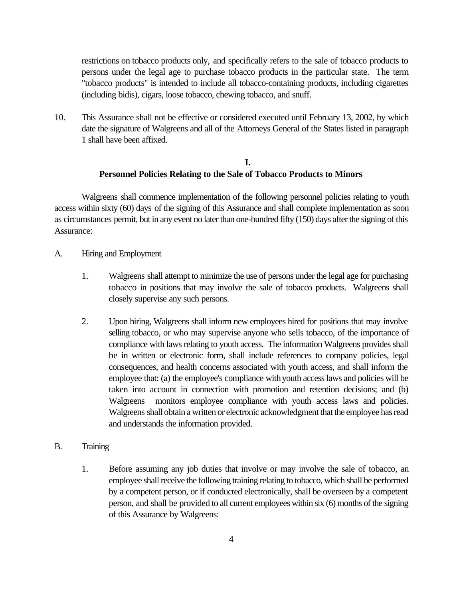restrictions on tobacco products only, and specifically refers to the sale of tobacco products to persons under the legal age to purchase tobacco products in the particular state. The term "tobacco products" is intended to include all tobacco-containing products, including cigarettes (including bidis), cigars, loose tobacco, chewing tobacco, and snuff.

10. This Assurance shall not be effective or considered executed until February 13, 2002, by which date the signature of Walgreens and all of the Attorneys General of the States listed in paragraph 1 shall have been affixed.

## **I. Personnel Policies Relating to the Sale of Tobacco Products to Minors**

Walgreens shall commence implementation of the following personnel policies relating to youth access within sixty (60) days of the signing of this Assurance and shall complete implementation as soon as circumstances permit, but in any event no later than one-hundred fifty (150) days after the signing of this Assurance:

- A. Hiring and Employment
	- 1. Walgreens shall attempt to minimize the use of persons under the legal age for purchasing tobacco in positions that may involve the sale of tobacco products. Walgreens shall closely supervise any such persons.
	- 2. Upon hiring, Walgreens shall inform new employees hired for positions that may involve selling tobacco, or who may supervise anyone who sells tobacco, of the importance of compliance with laws relating to youth access. The information Walgreens provides shall be in written or electronic form, shall include references to company policies, legal consequences, and health concerns associated with youth access, and shall inform the employee that: (a) the employee's compliance with youth access laws and policies will be taken into account in connection with promotion and retention decisions; and (b) Walgreens monitors employee compliance with youth access laws and policies. Walgreens shall obtain a written or electronic acknowledgment that the employee has read and understands the information provided.
- B. Training
	- 1. Before assuming any job duties that involve or may involve the sale of tobacco, an employee shall receive the following training relating to tobacco, which shall be performed by a competent person, or if conducted electronically, shall be overseen by a competent person, and shall be provided to all current employees within six (6) months of the signing of this Assurance by Walgreens: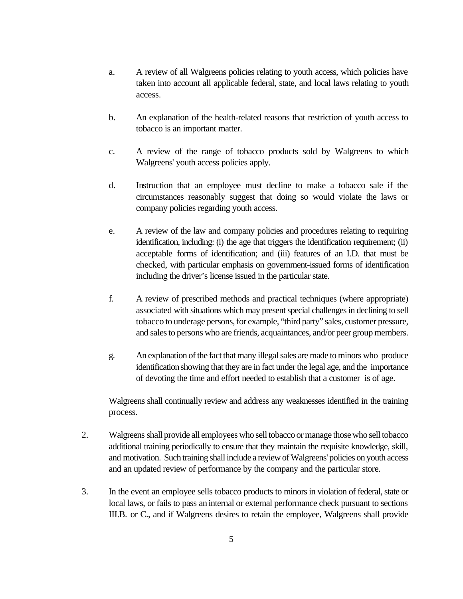- a. A review of all Walgreens policies relating to youth access, which policies have taken into account all applicable federal, state, and local laws relating to youth access.
- b. An explanation of the health-related reasons that restriction of youth access to tobacco is an important matter.
- c. A review of the range of tobacco products sold by Walgreens to which Walgreens' youth access policies apply.
- d. Instruction that an employee must decline to make a tobacco sale if the circumstances reasonably suggest that doing so would violate the laws or company policies regarding youth access.
- e. A review of the law and company policies and procedures relating to requiring identification, including: (i) the age that triggers the identification requirement; (ii) acceptable forms of identification; and (iii) features of an I.D. that must be checked, with particular emphasis on government-issued forms of identification including the driver's license issued in the particular state.
- f. A review of prescribed methods and practical techniques (where appropriate) associated with situations which may present special challenges in declining to sell tobacco to underage persons, for example, "third party" sales, customer pressure, and sales to persons who are friends, acquaintances, and/or peer group members.
- g. An explanation of the fact that many illegal sales are made to minors who produce identification showing that they are in fact under the legal age, and the importance of devoting the time and effort needed to establish that a customer is of age.

Walgreens shall continually review and address any weaknesses identified in the training process.

- 2. Walgreens shall provide all employees who sell tobacco or manage those who sell tobacco additional training periodically to ensure that they maintain the requisite knowledge, skill, and motivation. Such training shall include a review of Walgreens' policies on youth access and an updated review of performance by the company and the particular store.
- 3. In the event an employee sells tobacco products to minors in violation of federal, state or local laws, or fails to pass an internal or external performance check pursuant to sections III.B. or C., and if Walgreens desires to retain the employee, Walgreens shall provide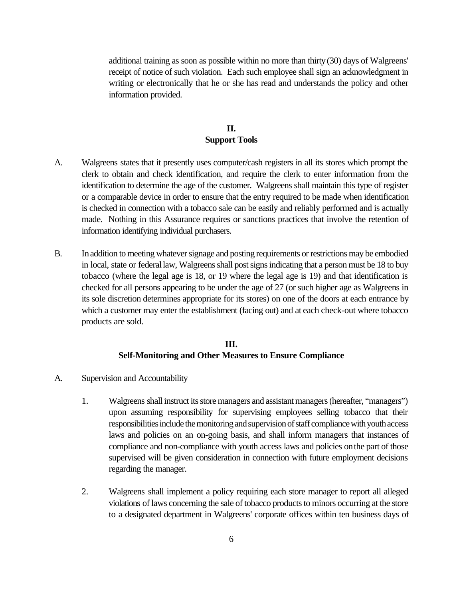additional training as soon as possible within no more than thirty (30) days of Walgreens' receipt of notice of such violation. Each such employee shall sign an acknowledgment in writing or electronically that he or she has read and understands the policy and other information provided.

## **II. Support Tools**

- A. Walgreens states that it presently uses computer/cash registers in all its stores which prompt the clerk to obtain and check identification, and require the clerk to enter information from the identification to determine the age of the customer. Walgreens shall maintain this type of register or a comparable device in order to ensure that the entry required to be made when identification is checked in connection with a tobacco sale can be easily and reliably performed and is actually made. Nothing in this Assurance requires or sanctions practices that involve the retention of information identifying individual purchasers.
- B. In addition to meeting whatever signage and posting requirements or restrictions may be embodied in local, state or federal law, Walgreens shall post signs indicating that a person must be 18 to buy tobacco (where the legal age is 18, or 19 where the legal age is 19) and that identification is checked for all persons appearing to be under the age of 27 (or such higher age as Walgreens in its sole discretion determines appropriate for its stores) on one of the doors at each entrance by which a customer may enter the establishment (facing out) and at each check-out where tobacco products are sold.

#### **III. Self-Monitoring and Other Measures to Ensure Compliance**

- A. Supervision and Accountability
	- 1. Walgreens shall instruct its store managers and assistant managers (hereafter, "managers") upon assuming responsibility for supervising employees selling tobacco that their responsibilities include the monitoring and supervision of staff compliance with youth access laws and policies on an on-going basis, and shall inform managers that instances of compliance and non-compliance with youth access laws and policies on the part of those supervised will be given consideration in connection with future employment decisions regarding the manager.
	- 2. Walgreens shall implement a policy requiring each store manager to report all alleged violations of laws concerning the sale of tobacco products to minors occurring at the store to a designated department in Walgreens' corporate offices within ten business days of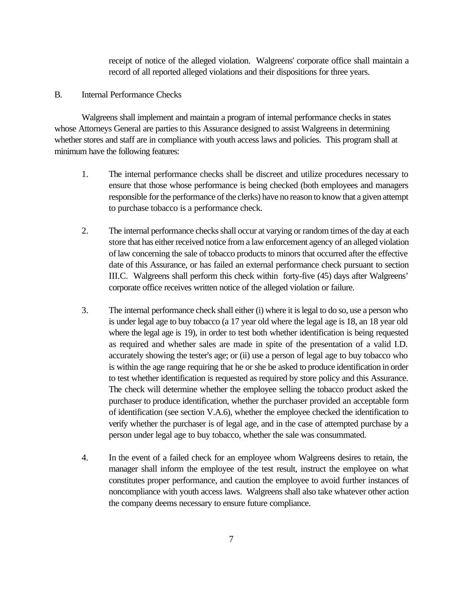receipt of notice of the alleged violation. Walgreens' corporate office shall maintain a record of all reported alleged violations and their dispositions for three years.

#### B. Internal Performance Checks

Walgreens shall implement and maintain a program of internal performance checks in states whose Attorneys General are parties to this Assurance designed to assist Walgreens in determining whether stores and staff are in compliance with youth access laws and policies. This program shall at minimum have the following features:

- 1. The internal performance checks shall be discreet and utilize procedures necessary to ensure that those whose performance is being checked (both employees and managers responsible for the performance of the clerks) have no reason to know that a given attempt to purchase tobacco is a performance check.
- 2. The internal performance checks shall occur at varying or random times of the day at each store that has either received notice from a law enforcement agency of an alleged violation of law concerning the sale of tobacco products to minors that occurred after the effective date of this Assurance, or has failed an external performance check pursuant to section III.C. Walgreens shall perform this check within forty-five (45) days after Walgreens' corporate office receives written notice of the alleged violation or failure.
- 3. The internal performance check shall either (i) where it is legal to do so, use a person who is under legal age to buy tobacco (a 17 year old where the legal age is 18, an 18 year old where the legal age is 19), in order to test both whether identification is being requested as required and whether sales are made in spite of the presentation of a valid I.D. accurately showing the tester's age; or (ii) use a person of legal age to buy tobacco who is within the age range requiring that he or she be asked to produce identification in order to test whether identification is requested as required by store policy and this Assurance. The check will determine whether the employee selling the tobacco product asked the purchaser to produce identification, whether the purchaser provided an acceptable form of identification (see section V.A.6), whether the employee checked the identification to verify whether the purchaser is of legal age, and in the case of attempted purchase by a person under legal age to buy tobacco, whether the sale was consummated.
- 4. In the event of a failed check for an employee whom Walgreens desires to retain, the manager shall inform the employee of the test result, instruct the employee on what constitutes proper performance, and caution the employee to avoid further instances of noncompliance with youth access laws. Walgreens shall also take whatever other action the company deems necessary to ensure future compliance.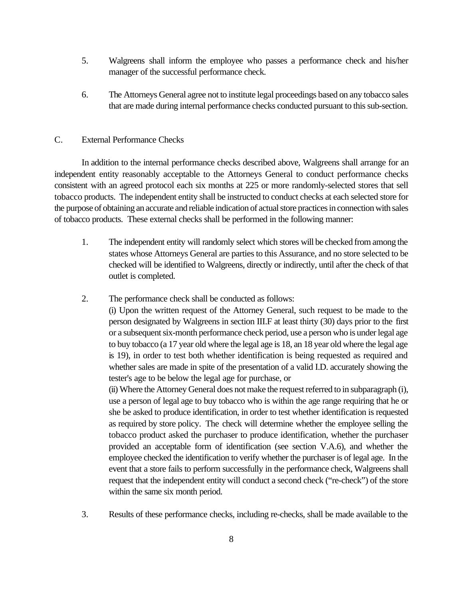- 5. Walgreens shall inform the employee who passes a performance check and his/her manager of the successful performance check.
- 6. The Attorneys General agree not to institute legal proceedings based on any tobacco sales that are made during internal performance checks conducted pursuant to this sub-section.

## C. External Performance Checks

In addition to the internal performance checks described above, Walgreens shall arrange for an independent entity reasonably acceptable to the Attorneys General to conduct performance checks consistent with an agreed protocol each six months at 225 or more randomly-selected stores that sell tobacco products. The independent entity shall be instructed to conduct checks at each selected store for the purpose of obtaining an accurate and reliable indication of actual store practices in connection with sales of tobacco products. These external checks shall be performed in the following manner:

- 1. The independent entity will randomly select which stores will be checked from among the states whose Attorneys General are parties to this Assurance, and no store selected to be checked will be identified to Walgreens, directly or indirectly, until after the check of that outlet is completed.
- 2. The performance check shall be conducted as follows:

(i) Upon the written request of the Attorney General, such request to be made to the person designated by Walgreens in section III.F at least thirty (30) days prior to the first or a subsequent six-month performance check period, use a person who is under legal age to buy tobacco (a 17 year old where the legal age is 18, an 18 year old where the legal age is 19), in order to test both whether identification is being requested as required and whether sales are made in spite of the presentation of a valid I.D. accurately showing the tester's age to be below the legal age for purchase, or

(ii) Where the Attorney General does not make the request referred to in subparagraph (i), use a person of legal age to buy tobacco who is within the age range requiring that he or she be asked to produce identification, in order to test whether identification is requested as required by store policy. The check will determine whether the employee selling the tobacco product asked the purchaser to produce identification, whether the purchaser provided an acceptable form of identification (see section V.A.6), and whether the employee checked the identification to verify whether the purchaser is of legal age. In the event that a store fails to perform successfully in the performance check, Walgreens shall request that the independent entity will conduct a second check ("re-check") of the store within the same six month period.

3. Results of these performance checks, including re-checks, shall be made available to the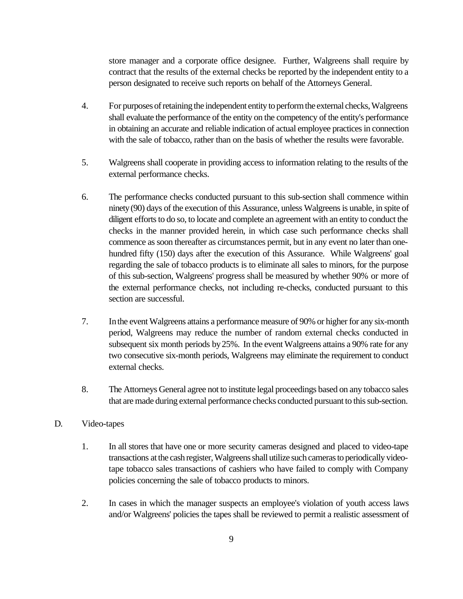store manager and a corporate office designee. Further, Walgreens shall require by contract that the results of the external checks be reported by the independent entity to a person designated to receive such reports on behalf of the Attorneys General.

- 4. For purposes of retaining the independent entity to perform the external checks, Walgreens shall evaluate the performance of the entity on the competency of the entity's performance in obtaining an accurate and reliable indication of actual employee practices in connection with the sale of tobacco, rather than on the basis of whether the results were favorable.
- 5. Walgreens shall cooperate in providing access to information relating to the results of the external performance checks.
- 6. The performance checks conducted pursuant to this sub-section shall commence within ninety (90) days of the execution of this Assurance, unless Walgreens is unable, in spite of diligent efforts to do so, to locate and complete an agreement with an entity to conduct the checks in the manner provided herein, in which case such performance checks shall commence as soon thereafter as circumstances permit, but in any event no later than onehundred fifty (150) days after the execution of this Assurance. While Walgreens' goal regarding the sale of tobacco products is to eliminate all sales to minors, for the purpose of this sub-section, Walgreens' progress shall be measured by whether 90% or more of the external performance checks, not including re-checks, conducted pursuant to this section are successful.
- 7. In the event Walgreens attains a performance measure of 90% or higher for any six-month period, Walgreens may reduce the number of random external checks conducted in subsequent six month periods by 25%. In the event Walgreens attains a 90% rate for any two consecutive six-month periods, Walgreens may eliminate the requirement to conduct external checks.
- 8. The Attorneys General agree not to institute legal proceedings based on any tobacco sales that are made during external performance checks conducted pursuant to this sub-section.

## D. Video-tapes

- 1. In all stores that have one or more security cameras designed and placed to video-tape transactions at the cash register, Walgreens shall utilize such cameras to periodically videotape tobacco sales transactions of cashiers who have failed to comply with Company policies concerning the sale of tobacco products to minors.
- 2. In cases in which the manager suspects an employee's violation of youth access laws and/or Walgreens' policies the tapes shall be reviewed to permit a realistic assessment of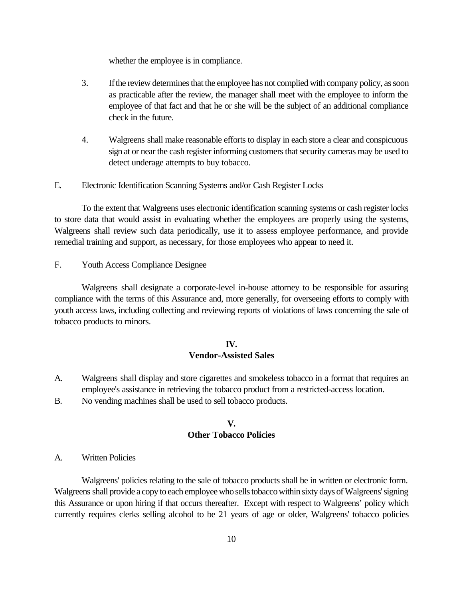whether the employee is in compliance.

- 3. If the review determines that the employee has not complied with company policy, as soon as practicable after the review, the manager shall meet with the employee to inform the employee of that fact and that he or she will be the subject of an additional compliance check in the future.
- 4. Walgreens shall make reasonable efforts to display in each store a clear and conspicuous sign at or near the cash register informing customers that security cameras may be used to detect underage attempts to buy tobacco.
- E. Electronic Identification Scanning Systems and/or Cash Register Locks

To the extent that Walgreens uses electronic identification scanning systems or cash register locks to store data that would assist in evaluating whether the employees are properly using the systems, Walgreens shall review such data periodically, use it to assess employee performance, and provide remedial training and support, as necessary, for those employees who appear to need it.

F. Youth Access Compliance Designee

Walgreens shall designate a corporate-level in-house attorney to be responsible for assuring compliance with the terms of this Assurance and, more generally, for overseeing efforts to comply with youth access laws, including collecting and reviewing reports of violations of laws concerning the sale of tobacco products to minors.

#### **IV.**

#### **Vendor-Assisted Sales**

- A. Walgreens shall display and store cigarettes and smokeless tobacco in a format that requires an employee's assistance in retrieving the tobacco product from a restricted-access location.
- B. No vending machines shall be used to sell tobacco products.

#### **V. Other Tobacco Policies**

#### A. Written Policies

Walgreens' policies relating to the sale of tobacco products shall be in written or electronic form. Walgreens shall provide a copy to each employee who sells tobacco within sixty days of Walgreens' signing this Assurance or upon hiring if that occurs thereafter. Except with respect to Walgreens' policy which currently requires clerks selling alcohol to be 21 years of age or older, Walgreens' tobacco policies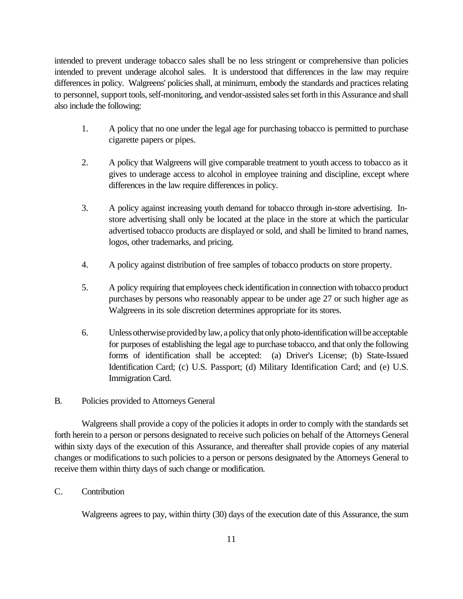intended to prevent underage tobacco sales shall be no less stringent or comprehensive than policies intended to prevent underage alcohol sales. It is understood that differences in the law may require differences in policy. Walgreens' policies shall, at minimum, embody the standards and practices relating to personnel, support tools, self-monitoring, and vendor-assisted sales set forth in this Assurance and shall also include the following:

- 1. A policy that no one under the legal age for purchasing tobacco is permitted to purchase cigarette papers or pipes.
- 2. A policy that Walgreens will give comparable treatment to youth access to tobacco as it gives to underage access to alcohol in employee training and discipline, except where differences in the law require differences in policy.
- 3. A policy against increasing youth demand for tobacco through in-store advertising. Instore advertising shall only be located at the place in the store at which the particular advertised tobacco products are displayed or sold, and shall be limited to brand names, logos, other trademarks, and pricing.
- 4. A policy against distribution of free samples of tobacco products on store property.
- 5. A policy requiring that employees check identification in connection with tobacco product purchases by persons who reasonably appear to be under age 27 or such higher age as Walgreens in its sole discretion determines appropriate for its stores.
- 6. Unless otherwise provided by law, a policy that only photo-identification will be acceptable for purposes of establishing the legal age to purchase tobacco, and that only the following forms of identification shall be accepted: (a) Driver's License; (b) State-Issued Identification Card; (c) U.S. Passport; (d) Military Identification Card; and (e) U.S. Immigration Card.

# B. Policies provided to Attorneys General

Walgreens shall provide a copy of the policies it adopts in order to comply with the standards set forth herein to a person or persons designated to receive such policies on behalf of the Attorneys General within sixty days of the execution of this Assurance, and thereafter shall provide copies of any material changes or modifications to such policies to a person or persons designated by the Attorneys General to receive them within thirty days of such change or modification.

# C. Contribution

Walgreens agrees to pay, within thirty (30) days of the execution date of this Assurance, the sum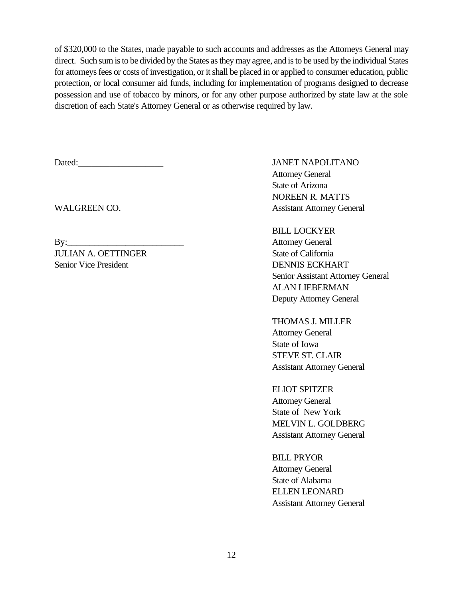of \$320,000 to the States, made payable to such accounts and addresses as the Attorneys General may direct. Such sum is to be divided by the States as they may agree, and is to be used by the individual States for attorneys fees or costs of investigation, or it shall be placed in or applied to consumer education, public protection, or local consumer aid funds, including for implementation of programs designed to decrease possession and use of tobacco by minors, or for any other purpose authorized by state law at the sole discretion of each State's Attorney General or as otherwise required by law.

Dated: JANET NAPOLITANO

By: Attorney General **JULIAN A. OETTINGER** State of California Senior Vice President DENNIS ECKHART

Attorney General State of Arizona NOREEN R. MATTS WALGREEN CO. Assistant Attorney General

> BILL LOCKYER Senior Assistant Attorney General ALAN LIEBERMAN Deputy Attorney General

THOMAS J. MILLER Attorney General State of Iowa STEVE ST. CLAIR Assistant Attorney General

ELIOT SPITZER Attorney General State of New York MELVIN L. GOLDBERG Assistant Attorney General

BILL PRYOR Attorney General State of Alabama ELLEN LEONARD Assistant Attorney General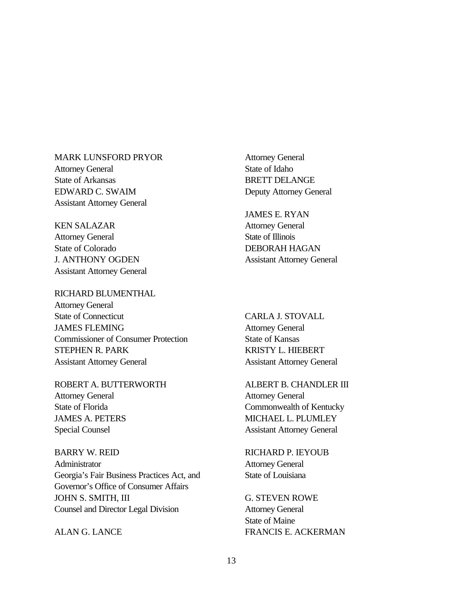MARK LUNSFORD PRYOR Attorney General State of Arkansas EDWARD C. SWAIM Assistant Attorney General

KEN SALAZAR Attorney General State of Colorado J. ANTHONY OGDEN Assistant Attorney General

RICHARD BLUMENTHAL Attorney General State of Connecticut JAMES FLEMING Commissioner of Consumer Protection STEPHEN R. PARK Assistant Attorney General

ROBERT A. BUTTERWORTH Attorney General State of Florida JAMES A. PETERS Special Counsel

BARRY W. REID **Administrator** Georgia's Fair Business Practices Act, and Governor's Office of Consumer Affairs JOHN S. SMITH, III Counsel and Director Legal Division

ALAN G. LANCE

Attorney General State of Idaho BRETT DELANGE Deputy Attorney General

JAMES E. RYAN Attorney General State of Illinois DEBORAH HAGAN Assistant Attorney General

CARLA J. STOVALL Attorney General State of Kansas KRISTY L. HIEBERT Assistant Attorney General

ALBERT B. CHANDLER III Attorney General Commonwealth of Kentucky MICHAEL L. PLUMLEY Assistant Attorney General

RICHARD P. IEYOUB Attorney General State of Louisiana

G. STEVEN ROWE Attorney General State of Maine FRANCIS E. ACKERMAN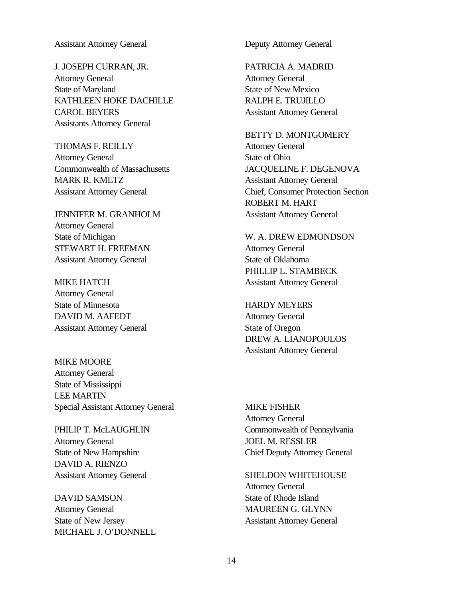#### Assistant Attorney General

J. JOSEPH CURRAN, JR. Attorney General State of Maryland KATHLEEN HOKE DACHILLE CAROL BEYERS Assistants Attorney General

THOMAS F. REILLY Attorney General Commonwealth of Massachusetts MARK R. KMETZ Assistant Attorney General

JENNIFER M. GRANHOLM Attorney General State of Michigan STEWART H. FREEMAN Assistant Attorney General

MIKE HATCH Attorney General State of Minnesota DAVID M. AAFEDT Assistant Attorney General

MIKE MOORE Attorney General State of Mississippi LEE MARTIN Special Assistant Attorney General

PHILIP T. McLAUGHLIN Attorney General State of New Hampshire DAVID A. RIENZO Assistant Attorney General

DAVID SAMSON Attorney General State of New Jersey MICHAEL J. O'DONNELL Deputy Attorney General

PATRICIA A. MADRID Attorney General State of New Mexico RALPH E. TRUJILLO Assistant Attorney General

BETTY D. MONTGOMERY Attorney General State of Ohio JACQUELINE F. DEGENOVA Assistant Attorney General Chief, Consumer Protection Section ROBERT M. HART Assistant Attorney General

W. A. DREW EDMONDSON Attorney General State of Oklahoma PHILLIP L. STAMBECK Assistant Attorney General

HARDY MEYERS Attorney General State of Oregon DREW A. LIANOPOULOS Assistant Attorney General

MIKE FISHER Attorney General Commonwealth of Pennsylvania JOEL M. RESSLER Chief Deputy Attorney General

SHELDON WHITEHOUSE Attorney General State of Rhode Island

MAUREEN G. GLYNN Assistant Attorney General